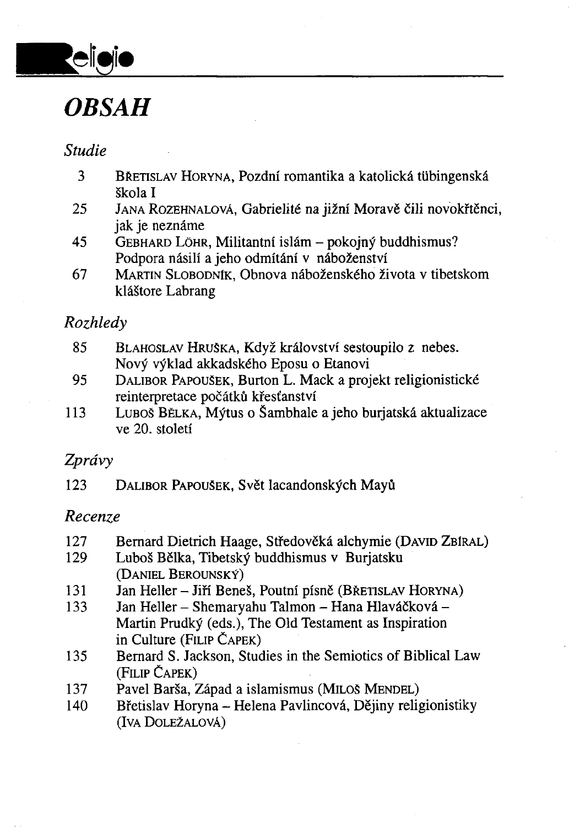

## *OBSAH*

### *Studie*

- 3 BŘETISLAV HORYNA, Pozdní romantika a katolická tiibingenská škola I
- 25 JANA ROZEHNALOVÁ, Gabrielité na jižní Moravě čili novokřtěnci, jak je neznáme
- 45 GEBHARD LOHR, Militantní islám pokojný buddhismus? Podpora násilí a jeho odmítání v náboženství
- 67 MARTIN SLOBODNÍK, Obnova náboženského života v tibetskom kláštore Labrang

### *Rozhledy*

- 85 BLAHOSLAV HRUSKA, Když království sestoupilo z nebes. Nový výklad akkadského Eposu o Etanovi
- 95 DALIBOR PAPOUŠEK, Burton L. Mack a projekt religionistické reinterpretace počátků křesťanství
- 113 LUBOS BĚLKA, Mýtus o Šambhale a jeho burjatská aktualizace ve 20. století

### *Zprávy*

123 DALIBOR PAPOUŠEK, Svět lacandonských Mayů

### *Recenze*

- 127 Bernard Dietrich Haage, Středověká alchymie (DAVID ZBIRAL)
- 129 Luboš Bělka, Tibetský buddhismus v Burjatsku (DANIEL BEROUNSKÝ)
- 131 Jan Heller Jiří Beneš, Poutní písně (Břerislav HORYNA)
- 133 Jan Heller Shemaryahu Talmon Hana Hlaváčková -Martin Prudký (eds.), The Old Testament as Inspiration in Culture (FILIP ČAPEK)
- 135 Bernard S. Jackson, Studies in the Semiotics of Biblical Law (FILIP ČAPEK)
- 137 Pavel Barša, Západ a islamismus (MILOŠ MENDEL)
- 140 Břetislav Horyna Helena Pavlincová, Dějiny religionistiky (IVA DOLEŽALOVÁ)